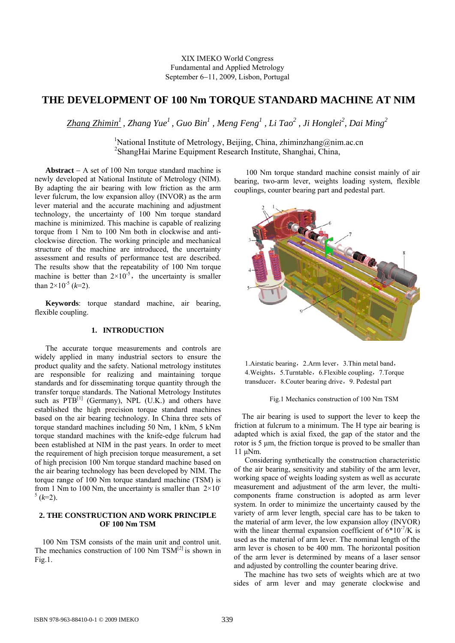XIX IMEKO World Congress Fundamental and Applied Metrology September 6−11, 2009, Lisbon, Portugal

# **THE DEVELOPMENT OF 100 Nm TORQUE STANDARD MACHINE AT NIM**

*Zhang Zhimin1 , Zhang Yue1 , Guo Bin1 , Meng Feng<sup>1</sup> , Li Tao2 , Ji Honglei<sup>2</sup> , Dai Ming<sup>2</sup>*

<sup>1</sup>National Institute of Metrology, Beijing, China, zhiminzhang@nim.ac.cn 2 ShangHai Marine Equipment Research Institute, Shanghai, China,

**Abstract** − A set of 100 Nm torque standard machine is newly developed at National Institute of Metrology (NIM). By adapting the air bearing with low friction as the arm lever fulcrum, the low expansion alloy (INVOR) as the arm lever material and the accurate machining and adjustment technology, the uncertainty of 100 Nm torque standard machine is minimized. This machine is capable of realizing torque from 1 Nm to 100 Nm both in clockwise and anticlockwise direction. The working principle and mechanical structure of the machine are introduced, the uncertainty assessment and results of performance test are described. The results show that the repeatability of 100 Nm torque machine is better than  $2\times10^{-5}$ , the uncertainty is smaller than  $2 \times 10^{-5}$  (*k*=2).

**Keywords**: torque standard machine, air bearing, flexible coupling.

# **1. INTRODUCTION**

The accurate torque measurements and controls are widely applied in many industrial sectors to ensure the product quality and the safety. National metrology institutes are responsible for realizing and maintaining torque standards and for disseminating torque quantity through the transfer torque standards. The National Metrology Institutes such as  $PTB^{[1]}$  (Germany), NPL (U.K.) and others have established the high precision torque standard machines based on the air bearing technology. In China three sets of torque standard machines including 50 Nm, 1 kNm, 5 kNm torque standard machines with the knife-edge fulcrum had been established at NIM in the past years. In order to meet the requirement of high precision torque measurement, a set of high precision 100 Nm torque standard machine based on the air bearing technology has been developed by NIM. The torque range of 100 Nm torque standard machine (TSM) is from 1 Nm to 100 Nm, the uncertainty is smaller than  $2\times10^{-1}$  $(1, 2)$ .

# **2. THE CONSTRUCTION AND WORK PRINCIPLE OF 100 Nm TSM**

100 Nm TSM consists of the main unit and control unit. The mechanics construction of 100 Nm  $TSM^{[2]}$  is shown in Fig.1.

100 Nm torque standard machine consist mainly of air bearing, two-arm lever, weights loading system, flexible couplings, counter bearing part and pedestal part.



1. Airstatic bearing, 2. Arm lever, 3. Thin metal band, 4. Weights, 5. Turntable, 6. Flexible coupling, 7. Torque transducer, 8. Couter bearing drive, 9. Pedestal part

#### Fig.1 Mechanics construction of 100 Nm TSM

The air bearing is used to support the lever to keep the friction at fulcrum to a minimum. The H type air bearing is adapted which is axial fixed, the gap of the stator and the rotor is 5 μm, the friction torque is proved to be smaller than 11 μNm.

Considering synthetically the construction characteristic of the air bearing, sensitivity and stability of the arm lever, working space of weights loading system as well as accurate measurement and adjustment of the arm lever, the multicomponents frame construction is adopted as arm lever system. In order to minimize the uncertainty caused by the variety of arm lever length, special care has to be taken to the material of arm lever, the low expansion alloy (INVOR) with the linear thermal expansion coefficient of  $6*10^{-7}/K$  is used as the material of arm lever. The nominal length of the arm lever is chosen to be 400 mm. The horizontal position of the arm lever is determined by means of a laser sensor and adjusted by controlling the counter bearing drive.

The machine has two sets of weights which are at two sides of arm lever and may generate clockwise and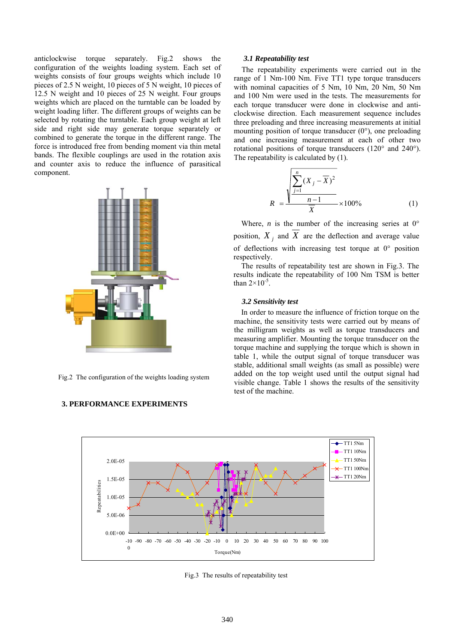anticlockwise torque separately. Fig.2 shows the configuration of the weights loading system. Each set of weights consists of four groups weights which include 10 pieces of 2.5 N weight, 10 pieces of 5 N weight, 10 pieces of 12.5 N weight and 10 pieces of 25 N weight. Four groups weights which are placed on the turntable can be loaded by weight loading lifter. The different groups of weights can be selected by rotating the turntable. Each group weight at left side and right side may generate torque separately or combined to generate the torque in the different range. The force is introduced free from bending moment via thin metal bands. The flexible couplings are used in the rotation axis and counter axis to reduce the influence of parasitical component.



Fig.2 The configuration of the weights loading system



# **3. PERFORMANCE EXPERIMENTS**

#### *3.1 Repeatability test*

The repeatability experiments were carried out in the range of 1 Nm-100 Nm. Five TT1 type torque transducers with nominal capacities of 5 Nm, 10 Nm, 20 Nm, 50 Nm and 100 Nm were used in the tests. The measurements for each torque transducer were done in clockwise and anticlockwise direction. Each measurement sequence includes three preloading and three increasing measurements at initial mounting position of torque transducer (0°), one preloading and one increasing measurement at each of other two rotational positions of torque transducers (120° and 240°). The repeatability is calculated by (1).

$$
R = \frac{\sqrt{\sum_{j=1}^{n} (X_j - \overline{X})^2}}{\frac{n-1}{\overline{X}}}
$$
 × 100% (1)

Where, *n* is the number of the increasing series at  $0^{\circ}$ position,  $X_i$  and  $\overline{X}$  are the deflection and average value of deflections with increasing test torque at 0° position respectively.

The results of repeatability test are shown in Fig.3. The results indicate the repeatability of 100 Nm TSM is better than  $2\times10^{-5}$ .

#### *3.2 Sensitivity test*

 In order to measure the influence of friction torque on the machine, the sensitivity tests were carried out by means of the milligram weights as well as torque transducers and measuring amplifier. Mounting the torque transducer on the torque machine and supplying the torque which is shown in table 1, while the output signal of torque transducer was stable, additional small weights (as small as possible) were added on the top weight used until the output signal had visible change. Table 1 shows the results of the sensitivity test of the machine.

Fig.3 The results of repeatability test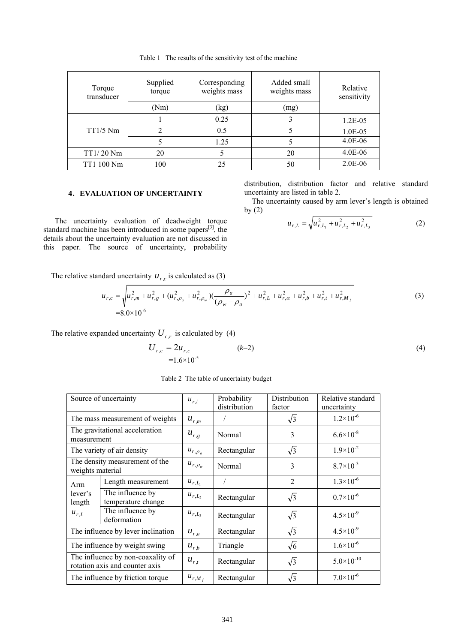Table 1 The results of the sensitivity test of the machine

| Torque<br>transducer | Supplied<br>torque | Corresponding<br>weights mass | Added small<br>Relative<br>weights mass<br>sensitivity |            |
|----------------------|--------------------|-------------------------------|--------------------------------------------------------|------------|
|                      | (Nm)               | (kg)                          | (mg)                                                   |            |
| $TT1/5$ Nm           |                    | 0.25                          |                                                        | $1.2E-0.5$ |
|                      | 2                  | 0.5                           |                                                        | 1.0E-05    |
|                      |                    | 1.25                          |                                                        | 4.0E-06    |
| $TT1/20$ Nm          | 20                 |                               | 20                                                     | 4.0E-06    |
| TT1 100 Nm           | 100                | 25                            | 50                                                     | 2.0E-06    |

# **4**.**EVALUATION OF UNCERTAINTY**

The uncertainty evaluation of deadweight torque standard machine has been introduced in some papers<sup>[3]</sup>, the details about the uncertainty evaluation are not discussed in this paper. The source of uncertainty, probability distribution, distribution factor and relative standard uncertainty are listed in table 2.

The uncertainty caused by arm lever's length is obtained by (2)

$$
u_{r,L} = \sqrt{u_{r,L_1}^2 + u_{r,L_2}^2 + u_{r,L_3}^2}
$$
 (2)

The relative standard uncertainty  $u_{r,c}$  is calculated as (3)

$$
u_{r,c} = \sqrt{u_{r,m}^2 + u_{r,g}^2 + (u_{r,\rho_a}^2 + u_{r,\rho_w}^2) (\frac{\rho_a}{(\rho_w - \rho_a)})^2 + u_{r,L}^2 + u_{r,\alpha}^2 + u_{r,b}^2 + u_{r,t}^2 + u_{r,M_f}^2}
$$
(3)  
=8.0×10<sup>-6</sup>

The relative expanded uncertainty  $U_{c,r}$  is calculated by (4)

$$
U_{r,c} = 2u_{r,c}
$$
 (k=2)  
=1.6×10<sup>-5</sup>

Table 2 The table of uncertainty budget

| Source of uncertainty                                               |                                        | $u_{r,i}$      | Probability<br>distribution | Distribution<br>factor | Relative standard<br>uncertainty |
|---------------------------------------------------------------------|----------------------------------------|----------------|-----------------------------|------------------------|----------------------------------|
| The mass measurement of weights                                     |                                        | $u_{r,m}$      |                             | $\sqrt{3}$             | $1.2 \times 10^{-6}$             |
| The gravitational acceleration<br>measurement                       |                                        | $u_{r,g}$      | Normal                      | 3                      | $6.6 \times 10^{-8}$             |
| The variety of air density                                          |                                        | $u_{r,\rho_a}$ | Rectangular                 | $\sqrt{3}$             | $1.9\times10^{-2}$               |
| The density measurement of the<br>weights material                  |                                        | $u_{r,\rho_w}$ | Normal                      | 3                      | $8.7\times10^{-3}$               |
| Arm<br>lever's<br>length<br>$u_{r,L}$                               | Length measurement                     | $u_{r,L}$      |                             | $\overline{2}$         | $1.3 \times 10^{-6}$             |
|                                                                     | The influence by<br>temperature change | $u_{r,L_2}$    | Rectangular                 | $\sqrt{3}$             | $0.7\times10^{-6}$               |
|                                                                     | The influence by<br>deformation        | $u_{r,L_3}$    | Rectangular                 | $\sqrt{3}$             | $4.5 \times 10^{-9}$             |
| The influence by lever inclination                                  |                                        | $u_{r,a}$      | Rectangular                 | $\sqrt{3}$             | $4.5 \times 10^{-9}$             |
| The influence by weight swing                                       |                                        | $u_{r,b}$      | Triangle                    | $\sqrt{6}$             | $1.6 \times 10^{-6}$             |
| The influence by non-coaxality of<br>rotation axis and counter axis |                                        | $u_{r,t}$      | Rectangular                 | $\sqrt{3}$             | $5.0 \times 10^{-10}$            |
| The influence by friction torque                                    |                                        | $u_{r,M_f}$    | Rectangular                 | $\sqrt{3}$             | $7.0\times10^{-6}$               |